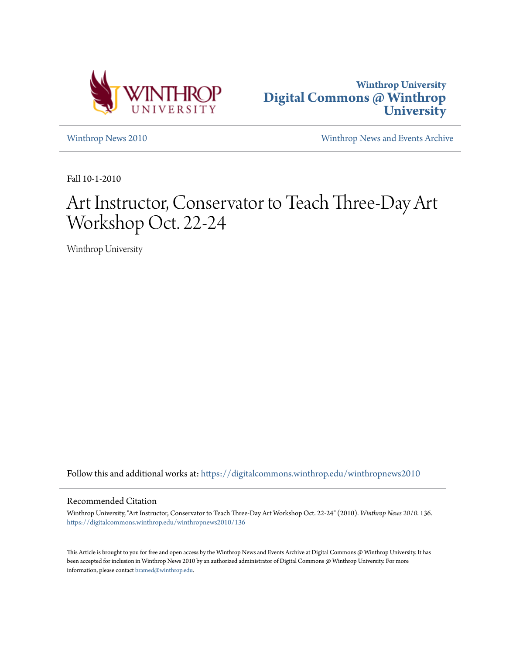



[Winthrop News 2010](https://digitalcommons.winthrop.edu/winthropnews2010?utm_source=digitalcommons.winthrop.edu%2Fwinthropnews2010%2F136&utm_medium=PDF&utm_campaign=PDFCoverPages) [Winthrop News and Events Archive](https://digitalcommons.winthrop.edu/winthropnewsarchives?utm_source=digitalcommons.winthrop.edu%2Fwinthropnews2010%2F136&utm_medium=PDF&utm_campaign=PDFCoverPages)

Fall 10-1-2010

## Art Instructor, Conservator to Teach Three-Day Art Workshop Oct. 22-24

Winthrop University

Follow this and additional works at: [https://digitalcommons.winthrop.edu/winthropnews2010](https://digitalcommons.winthrop.edu/winthropnews2010?utm_source=digitalcommons.winthrop.edu%2Fwinthropnews2010%2F136&utm_medium=PDF&utm_campaign=PDFCoverPages)

## Recommended Citation

Winthrop University, "Art Instructor, Conservator to Teach Three-Day Art Workshop Oct. 22-24" (2010). *Winthrop News 2010*. 136. [https://digitalcommons.winthrop.edu/winthropnews2010/136](https://digitalcommons.winthrop.edu/winthropnews2010/136?utm_source=digitalcommons.winthrop.edu%2Fwinthropnews2010%2F136&utm_medium=PDF&utm_campaign=PDFCoverPages)

This Article is brought to you for free and open access by the Winthrop News and Events Archive at Digital Commons @ Winthrop University. It has been accepted for inclusion in Winthrop News 2010 by an authorized administrator of Digital Commons @ Winthrop University. For more information, please contact [bramed@winthrop.edu](mailto:bramed@winthrop.edu).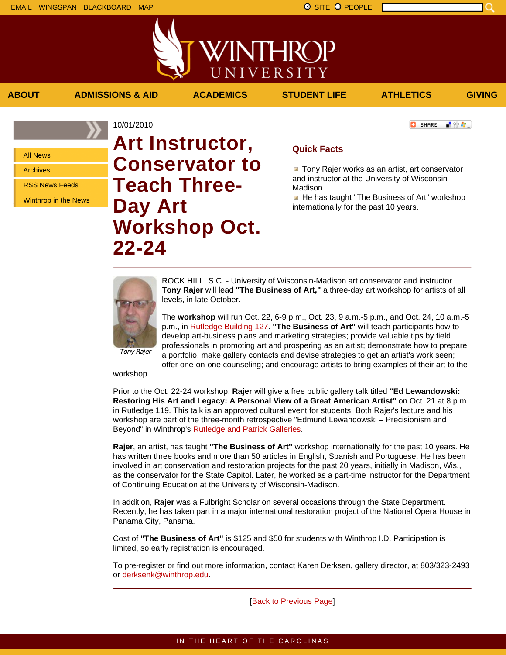■ 验母...]

**C** SHARE

All News

Archives

RSS News Feeds

Winthrop in the News

10/01/2010 **Art Instructor, Conservator to Teach Three-Day Art Workshop Oct. 22-24**

## **Quick Facts**

**ABOUT ADMISSIONS & AID ACADEMICS STUDENT LIFE ATHLETICS GIVING**

WINTHROP

UNIVERSITY

**The Tony Rajer works as an artist, art conservator** and instructor at the University of Wisconsin-Madison.

He has taught "The Business of Art" workshop internationally for the past 10 years.



ROCK HILL, S.C. - University of Wisconsin-Madison art conservator and instructor **Tony Rajer** will lead **"The Business of Art,"** a three-day art workshop for artists of all levels, in late October.

The **workshop** will run Oct. 22, 6-9 p.m., Oct. 23, 9 a.m.-5 p.m., and Oct. 24, 10 a.m.-5 p.m., in Rutledge Building 127. **"The Business of Art"** will teach participants how to develop art-business plans and marketing strategies; provide valuable tips by field professionals in promoting art and prospering as an artist; demonstrate how to prepare

Tony Rajer

a portfolio, make gallery contacts and devise strategies to get an artist's work seen; offer one-on-one counseling; and encourage artists to bring examples of their art to the

workshop.

Prior to the Oct. 22-24 workshop, **Rajer** will give a free public gallery talk titled **"Ed Lewandowski: Restoring His Art and Legacy: A Personal View of a Great American Artist"** on Oct. 21 at 8 p.m. in Rutledge 119. This talk is an approved cultural event for students. Both Rajer's lecture and his workshop are part of the three-month retrospective "Edmund Lewandowski – Precisionism and Beyond" in Winthrop's Rutledge and Patrick Galleries.

**Rajer**, an artist, has taught **"The Business of Art"** workshop internationally for the past 10 years. He has written three books and more than 50 articles in English, Spanish and Portuguese. He has been involved in art conservation and restoration projects for the past 20 years, initially in Madison, Wis., as the conservator for the State Capitol. Later, he worked as a part-time instructor for the Department of Continuing Education at the University of Wisconsin-Madison.

In addition, **Rajer** was a Fulbright Scholar on several occasions through the State Department. Recently, he has taken part in a major international restoration project of the National Opera House in Panama City, Panama.

Cost of **"The Business of Art"** is \$125 and \$50 for students with Winthrop I.D. Participation is limited, so early registration is encouraged.

To pre-register or find out more information, contact Karen Derksen, gallery director, at 803/323-2493 or derksenk@winthrop.edu.

[Back to Previous Page]